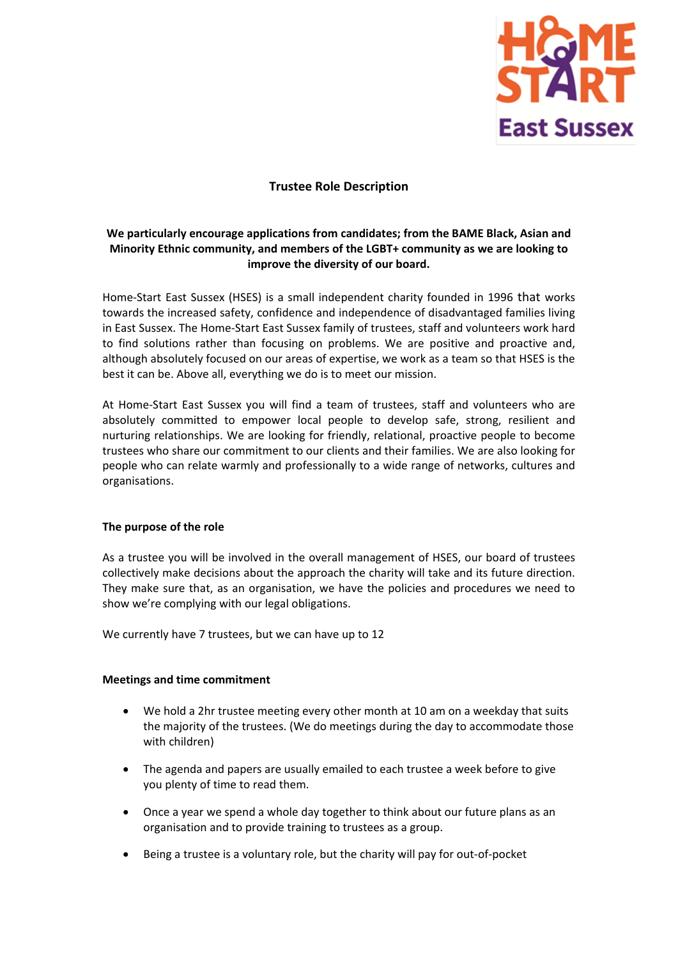

# **Trustee Role Description**

# **We particularly encourage applications from candidates; from the BAME Black, Asian and Minority Ethnic community, and members of the LGBT+ community as we are looking to improve the diversity of our board.**

Home-Start East Sussex (HSES) is a small independent charity founded in 1996 that works towards the increased safety, confidence and independence of disadvantaged families living in East Sussex. The Home-Start East Sussex family of trustees, staff and volunteers work hard to find solutions rather than focusing on problems. We are positive and proactive and, although absolutely focused on our areas of expertise, we work as a team so that HSES is the best it can be. Above all, everything we do is to meet our mission.

At Home-Start East Sussex you will find a team of trustees, staff and volunteers who are absolutely committed to empower local people to develop safe, strong, resilient and nurturing relationships. We are looking for friendly, relational, proactive people to become trustees who share our commitment to our clients and their families. We are also looking for people who can relate warmly and professionally to a wide range of networks, cultures and organisations.

## **The purpose of the role**

As a trustee you will be involved in the overall management of HSES, our board of trustees collectively make decisions about the approach the charity will take and its future direction. They make sure that, as an organisation, we have the policies and procedures we need to show we're complying with our legal obligations.

We currently have 7 trustees, but we can have up to 12

## **Meetings and time commitment**

- We hold a 2hr trustee meeting every other month at 10 am on a weekday that suits the majority of the trustees. (We do meetings during the day to accommodate those with children)
- The agenda and papers are usually emailed to each trustee a week before to give you plenty of time to read them.
- Once a year we spend a whole day together to think about our future plans as an organisation and to provide training to trustees as a group.
- Being a trustee is a voluntary role, but the charity will pay for out-of-pocket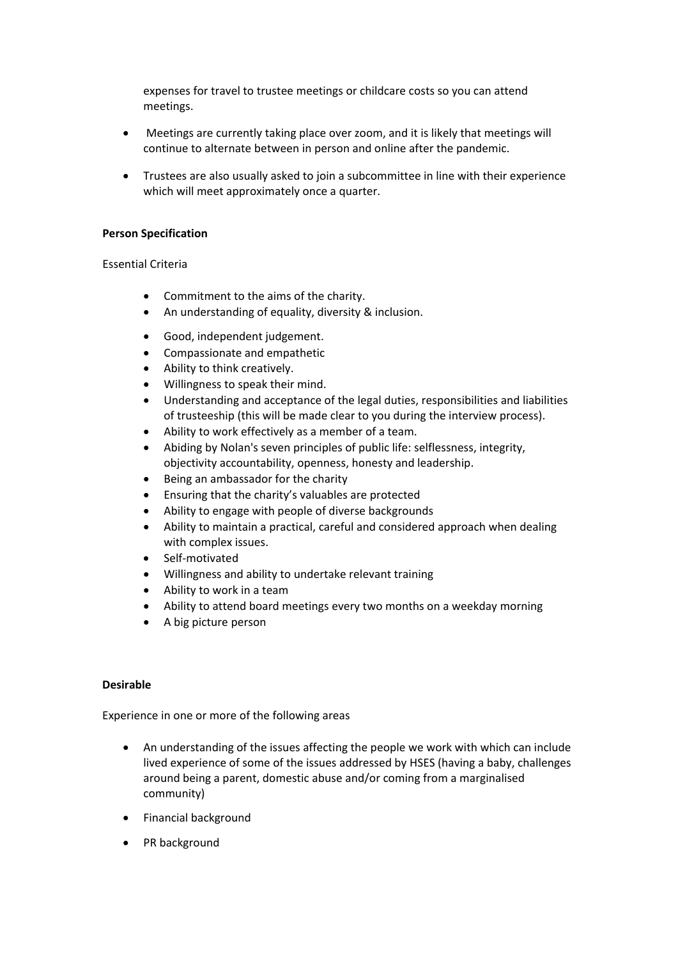expenses for travel to trustee meetings or childcare costs so you can attend meetings.

- Meetings are currently taking place over zoom, and it is likely that meetings will continue to alternate between in person and online after the pandemic.
- Trustees are also usually asked to join a subcommittee in line with their experience which will meet approximately once a quarter.

### **Person Specification**

#### Essential Criteria

- Commitment to the aims of the charity.
- An understanding of equality, diversity & inclusion.
- Good, independent judgement.
- Compassionate and empathetic
- Ability to think creatively.
- Willingness to speak their mind.
- Understanding and acceptance of the legal duties, responsibilities and liabilities of trusteeship (this will be made clear to you during the interview process).
- Ability to work effectively as a member of a team.
- Abiding by Nolan's seven principles of public life: selflessness, integrity, objectivity accountability, openness, honesty and leadership.
- Being an ambassador for the charity
- Ensuring that the charity's valuables are protected
- Ability to engage with people of diverse backgrounds
- Ability to maintain a practical, careful and considered approach when dealing with complex issues.
- Self-motivated
- Willingness and ability to undertake relevant training
- Ability to work in a team
- Ability to attend board meetings every two months on a weekday morning
- A big picture person

## **Desirable**

Experience in one or more of the following areas

- An understanding of the issues affecting the people we work with which can include lived experience of some of the issues addressed by HSES (having a baby, challenges around being a parent, domestic abuse and/or coming from a marginalised community)
- Financial background
- PR background